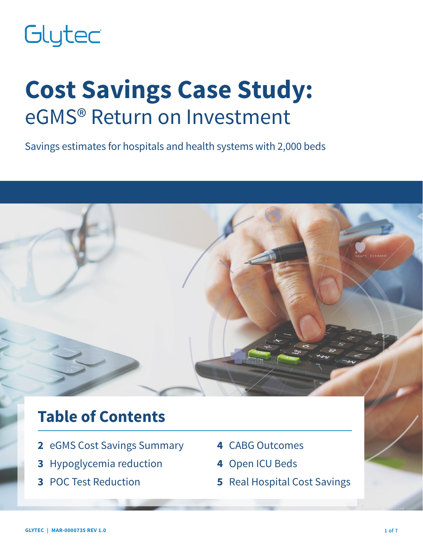# Glytec

# **Cost Savings Case Study:** eGMS® Return on Investment

Savings estimates for hospitals and health systems with 2,000 beds

# **Table of Contents**

- **2** eGMS Cost Savings Summary
- **3** Hypoglycemia reduction
- **3** POC Test Reduction
- **4** CABG Outcomes
- **4** Open ICU Beds
- **5** Real Hospital Cost Savings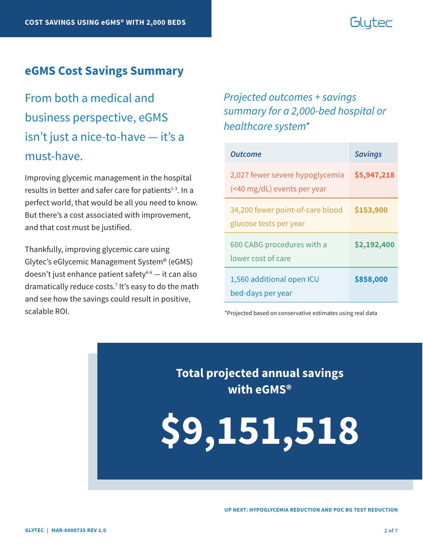# Glutec

#### **eGMS Cost Savings Summary**

From both a medical and business perspective, eGMS isn't just a nice-to-have — it's a must-have.

Improving glycemic management in the hospital results in better and safer care for patients $1-3$ . In a perfect world, that would be all you need to know. But there's a cost associated with improvement, and that cost must be justified.

Thankfully, improving glycemic care using Glytec's eGlycemic Management System® (eGMS) doesn't just enhance patient safety $4-6$  — it can also dramatically reduce costs.7 It's easy to do the math and see how the savings could result in positive, scalable ROI.

### *Projected outcomes + savings summary for a 2,000-bed hospital or healthcare system\**

| Outcome                                                        | <b>Savings</b> |
|----------------------------------------------------------------|----------------|
| 2,027 fewer severe hypoglycemia<br>(<40 mg/dL) events per year | \$5,947,218    |
| 34,200 fewer point-of-care blood<br>glucose tests per year     | \$153,900      |
| 600 CABG procedures with a<br>lower cost of care               | \$2,192,400    |
| 1,560 additional open ICU<br>bed-days per year                 | \$858,000      |

\*Projected based on conservative estimates using real data

**Total projected annual savings with eGMS®**

**\$9,151,518**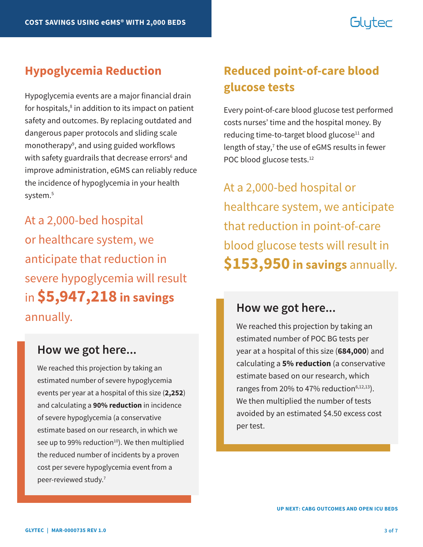# Glutec

Hypoglycemia events are a major financial drain for hospitals,<sup>8</sup> in addition to its impact on patient safety and outcomes. By replacing outdated and dangerous paper protocols and sliding scale monotherapy<sup>9</sup>, and using guided workflows with safety guardrails that decrease errors<sup>6</sup> and improve administration, eGMS can reliably reduce the incidence of hypoglycemia in your health system.<sup>5</sup>

At a 2,000-bed hospital or healthcare system, we anticipate that reduction in severe hypoglycemia will result in **\$5,947,218 in savings** annually.

#### **How we got here...**

We reached this projection by taking an estimated number of severe hypoglycemia events per year at a hospital of this size (**2,252**) and calculating a **90% reduction** in incidence of severe hypoglycemia (a conservative estimate based on our research, in which we see up to 99% reduction $10$ . We then multiplied the reduced number of incidents by a proven cost per severe hypoglycemia event from a peer-reviewed study.7

## **Hypoglycemia Reduction Reduced point-of-care blood glucose tests**

Every point-of-care blood glucose test performed costs nurses' time and the hospital money. By reducing time-to-target blood glucose<sup>11</sup> and length of stay,<sup>7</sup> the use of eGMS results in fewer POC blood glucose tests.<sup>12</sup>

At a 2,000-bed hospital or healthcare system, we anticipate that reduction in point-of-care blood glucose tests will result in **\$153,950 in savings** annually.

#### **How we got here...**

We reached this projection by taking an estimated number of POC BG tests per year at a hospital of this size (**684,000**) and calculating a **5% reduction** (a conservative estimate based on our research, which ranges from 20% to 47% reduction $6,12,13$ ). We then multiplied the number of tests avoided by an estimated \$4.50 excess cost per test.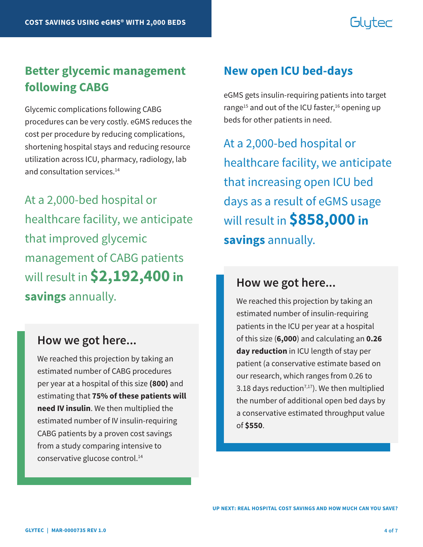# Glutec

## **Better glycemic management following CABG**

Glycemic complications following CABG procedures can be very costly. eGMS reduces the cost per procedure by reducing complications, shortening hospital stays and reducing resource utilization across ICU, pharmacy, radiology, lab and consultation services.<sup>14</sup>

At a 2,000-bed hospital or healthcare facility, we anticipate that improved glycemic management of CABG patients will result in **\$2,192,400 in savings** annually.

#### **How we got here...**

We reached this projection by taking an estimated number of CABG procedures per year at a hospital of this size **(800)** and estimating that **75% of these patients will need IV insulin**. We then multiplied the estimated number of IV insulin-requiring CABG patients by a proven cost savings from a study comparing intensive to conservative glucose control.14

### **New open ICU bed-days**

eGMS gets insulin-requiring patients into target range<sup>15</sup> and out of the ICU faster,<sup>16</sup> opening up beds for other patients in need.

At a 2,000-bed hospital or healthcare facility, we anticipate that increasing open ICU bed days as a result of eGMS usage will result in **\$858,000 in savings** annually.

#### **How we got here...**

We reached this projection by taking an estimated number of insulin-requiring patients in the ICU per year at a hospital of this size (**6,000**) and calculating an **0.26 day reduction** in ICU length of stay per patient (a conservative estimate based on our research, which ranges from 0.26 to 3.18 days reduction<sup>7,17</sup>). We then multiplied the number of additional open bed days by a conservative estimated throughput value of **\$550**.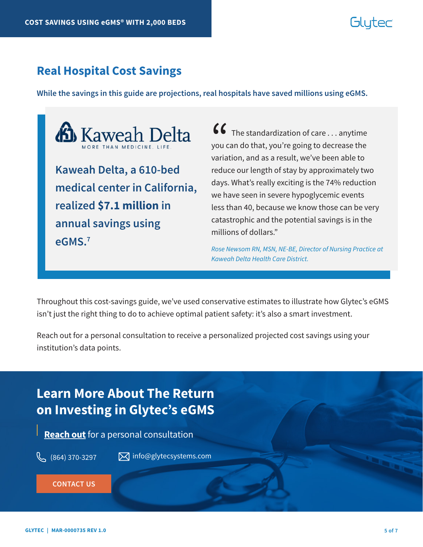# Gluter

### **Real Hospital Cost Savings**

**While the savings in this guide are projections, real hospitals have saved millions using eGMS.** 



**medical center in California, realized \$7.1 million in annual savings using eGMS.7**

 $\bullet\bullet\bullet\bullet$  The standardization of care  $\ldots$  anytime you can do that, you're going to decrease the variation, and as a result, we've been able to reduce our length of stay by approximately two days. What's really exciting is the 74% reduction we have seen in severe hypoglycemic events less than 40, because we know those can be very catastrophic and the potential savings is in the millions of dollars."  $\binom{6}{}$ you c<br>varia

*Rose Newsom RN, MSN, NE-BE, Director of Nursing Practice at Kaweah Delta Health Care District.*

Throughout this cost-savings guide, we've used conservative estimates to illustrate how Glytec's eGMS isn't just the right thing to do to achieve optimal patient safety: it's also a smart investment.

Reach out for a personal consultation to receive a personalized projected cost savings using your institution's data points.

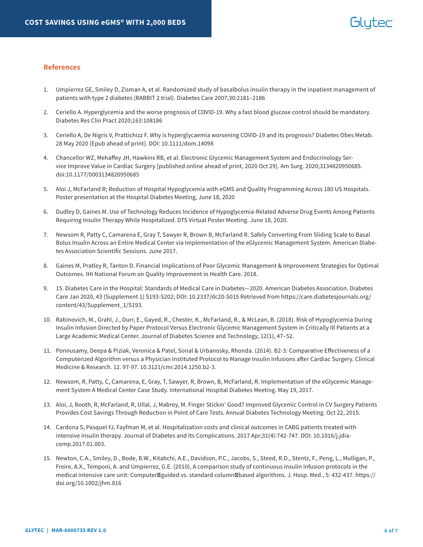#### **References**

- 1. Umpierrez GE, Smiley D, Zisman A, et al. Randomized study of basalbolus insulin therapy in the inpatient management of patients with type 2 diabetes (RABBIT 2 trial). Diabetes Care 2007;30:2181–2186
- 2. Ceriello A. Hyperglycemia and the worse prognosis of COVID-19. Why a fast blood glucose control should be mandatory. Diabetes Res Clin Pract 2020;163:108186
- 3. Ceriello A, De Nigris V, Prattichizz F. Why is hyperglycaemia worsening COVID-19 and its prognosis? Diabetes Obes Metab. 28 May 2020 [Epub ahead of print]. DOI: 10.1111/dom.14098
- 4. Chancellor WZ, Mehaffey JH, Hawkins RB, et al. Electronic Glycemic Management System and Endocrinology Service Improve Value in Cardiac Surgery [published online ahead of print, 2020 Oct 29]. Am Surg. 2020;3134820950685. doi:10.1177/0003134820950685
- 5. Aloi J, McFarland R; Reduction of Hospital Hypoglycemia with eGMS and Quality Programming Across 180 US Hospitals. Poster presentation at the Hospital Diabetes Meeting, June 18, 2020
- 6. Dudley D, Gaines M. Use of Technology Reduces Incidence of Hypoglycemia-Related Adverse Drug Events Among Patients Requiring Insulin Therapy While Hospitalized. DTS Virtual Poster Meeting. June 18, 2020.
- 7. Newsom R, Patty C, Camarena E, Gray T, Sawyer R, Brown B, McFarland R. Safely Converting From Sliding Scale to Basal Bolus Insulin Across an Entire Medical Center via Implementation of the eGlycemic Management System. American Diabetes Association Scientific Sessions. June 2017.
- 8. Gaines M, Pratley R, Tanton D. Financial Implications of Poor Glycemic Management & Improvement Strategies for Optimal Outcomes. IHI National Forum on Quality Improvement in Health Care. 2018.
- 9. 15. Diabetes Care in the Hospital: Standards of Medical Care in Diabetes—2020. American Diabetes Association. Diabetes Care Jan 2020, 43 (Supplement 1) S193-S202; DOI: 10.2337/dc20-S015 Retrieved from https://care.diabetesjournals.org/ content/43/Supplement\_1/S193.
- 10. Rabinovich, M., Grahl, J., Durr, E., Gayed, R., Chester, K., McFarland, R., & McLean, B. (2018). Risk of Hypoglycemia During Insulin Infusion Directed by Paper Protocol Versus Electronic Glycemic Management System in Critically Ill Patients at a Large Academic Medical Center. Journal of Diabetes Science and Technology, 12(1), 47–52.
- 11. Ponnusamy, Deepa & Piziak, Veronica & Patel, Sonal & Urbanosky, Rhonda. (2014). B2-3: Comparative Effectiveness of a Computerized Algorithm versus a Physician Instituted Protocol to Manage Insulin Infusions after Cardiac Surgery. Clinical Medicine & Research. 12. 97-97. 10.3121/cmr.2014.1250.b2-3.
- 12. Newsom, R, Patty, C, Camarena, E, Gray, T, Sawyer, R, Brown, B, McFarland, R. Implementation of the eGlycemic Management System A Medical Center Case Study. International Hospital Diabetes Meeting. May 19, 2017.
- 13. Aloi, J, Booth, R, McFarland, R, Ullal, J, Mabrey, M. Finger Stickin' Good? Improved Glycemic Control in CV Surgery Patients Provides Cost Savings Through Reduction in Point of Care Tests. Annual Diabetes Technology Meeting. Oct 22, 2015.
- 14. Cardona S, Pasquel FJ, Fayfman M, et al. Hospitalization costs and clinical outcomes in CABG patients treated with intensive insulin therapy. Journal of Diabetes and Its Complications. 2017 Apr;31(4):742-747. DOI: 10.1016/j.jdiacomp.2017.01.003.
- 15. Newton, C.A., Smiley, D., Bode, B.W., Kitabchi, A.E., Davidson, P.C., Jacobs, S., Steed, R.D., Stentz, F., Peng, L., Mulligan, P., Freire, A.X., Temponi, A. and Umpierrez, G.E. (2010), A comparison study of continuous insulin infusion protocols in the medical intensive care unit: Computer guided vs. standard column based algorithms. J. Hosp. Med., 5: 432-437. https:// doi.org/10.1002/jhm.816